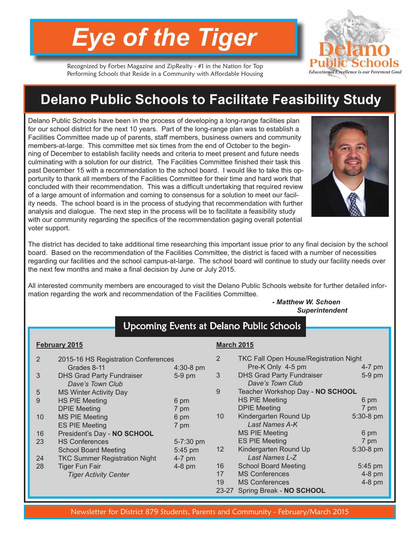# *Eye of the Tiger*

**Educational Excellence is our** 

Recognized by Forbes Magazine and ZipRealty - #1 in the Nation for Top Performing Schools that Reside in a Community with Affordable Housing

# **Delano Public Schools to Facilitate Feasibility Study**

Delano Public Schools have been in the process of developing a long-range facilities plan for our school district for the next 10 years. Part of the long-range plan was to establish a Facilities Committee made up of parents, staff members, business owners and community members-at-large. This committee met six times from the end of October to the beginning of December to establish facility needs and criteria to meet present and future needs culminating with a solution for our district. The Facilities Committee finished their task this past December 15 with a recommendation to the school board. I would like to take this opportunity to thank all members of the Facilities Committee for their time and hard work that concluded with their recommendation. This was a difficult undertaking that required review of a large amount of information and coming to consensus for a solution to meet our facility needs. The school board is in the process of studying that recommendation with further analysis and dialogue. The next step in the process will be to facilitate a feasibility study with our community regarding the specifics of the recommendation gaging overall potential voter support.



The district has decided to take additional time researching this important issue prior to any final decision by the school board. Based on the recommendation of the Facilities Committee, the district is faced with a number of necessities regarding our facilities and the school campus-at-large. The school board will continue to study our facility needs over the next few months and make a final decision by June or July 2015.

All interested community members are encouraged to visit the Delano Public Schools website for further detailed information regarding the work and recommendation of the Facilities Committee.

> *- Matthew W. Schoen Superintendent*

| Upcoming Events at Delano Public Schools |                                                      |             |                   |                                                      |           |
|------------------------------------------|------------------------------------------------------|-------------|-------------------|------------------------------------------------------|-----------|
|                                          |                                                      |             |                   |                                                      |           |
| February 2015                            |                                                      |             | <b>March 2015</b> |                                                      |           |
| 2                                        | 2015-16 HS Registration Conferences                  |             | 2                 | <b>TKC Fall Open House/Registration Night</b>        |           |
|                                          | Grades 8-11                                          | $4:30-8$ pm |                   | Pre-K Only 4-5 pm                                    | 4-7 pm    |
| 3                                        | <b>DHS Grad Party Fundraiser</b><br>Dave's Town Club | $5-9$ pm    | 3                 | <b>DHS Grad Party Fundraiser</b><br>Dave's Town Club | 5-9 pm    |
| 5                                        | <b>MS Winter Activity Day</b>                        |             | 9                 | Teacher Workshop Day - NO SCHOOL                     |           |
| 9                                        | <b>HS PIE Meeting</b>                                | 6 pm        |                   | <b>HS PIE Meeting</b>                                | 6 pm      |
|                                          | <b>DPIE Meeting</b>                                  | 7 pm        |                   | <b>DPIE Meeting</b>                                  | 7 pm      |
| 10                                       | <b>MS PIE Meeting</b>                                | 6 pm        | 10 <sup>°</sup>   | Kindergarten Round Up                                | 5:30-8 pm |
|                                          | <b>ES PIE Meeting</b>                                | 7 pm        |                   | Last Names A-K                                       |           |
| 16                                       | President's Day - NO SCHOOL                          |             |                   | <b>MS PIE Meeting</b>                                | 6 pm      |
| 23                                       | <b>HS Conferences</b>                                | 5-7:30 pm   |                   | <b>ES PIE Meeting</b>                                | 7 pm      |
|                                          | <b>School Board Meeting</b>                          | 5:45 pm     | 12 <sup>°</sup>   | Kindergarten Round Up                                | 5:30-8 pm |
| 24                                       | <b>TKC Summer Registration Night</b>                 | $4-7$ pm    |                   | Last Names L-Z                                       |           |
| 28                                       | <b>Tiger Fun Fair</b>                                | $4-8$ pm    | 16                | <b>School Board Meeting</b>                          | 5:45 pm   |
|                                          | <b>Tiger Activity Center</b>                         |             | 17                | <b>MS Conferences</b>                                | $4-8$ pm  |
|                                          |                                                      |             | 19                | <b>MS Conferences</b>                                | $4-8$ pm  |
|                                          |                                                      |             | $23 - 27$         | Spring Break - NO SCHOOL                             |           |

Newsletter for District 879 Students, Parents and Community - February/March 2015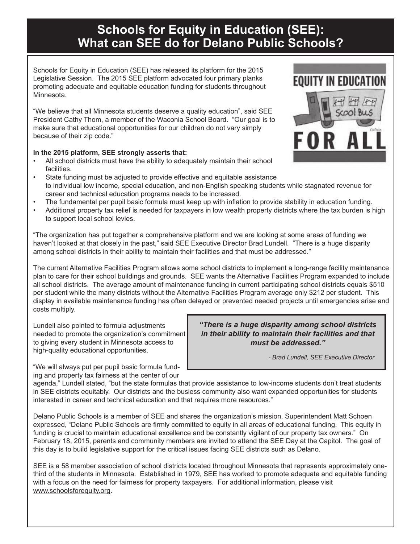## **Schools for Equity in Education (SEE): What can SEE do for Delano Public Schools?**

Schools for Equity in Education (SEE) has released its platform for the 2015 Legislative Session. The 2015 SEE platform advocated four primary planks promoting adequate and equitable education funding for students throughout Minnesota.

"We believe that all Minnesota students deserve a quality education", said SEE President Cathy Thom, a member of the Waconia School Board. "Our goal is to make sure that educational opportunities for our children do not vary simply because of their zip code."

#### **In the 2015 platform, SEE strongly asserts that:**

- All school districts must have the ability to adequately maintain their school facilities.
- State funding must be adjusted to provide effective and equitable assistance to individual low income, special education, and non-English speaking students while stagnated revenue for career and technical education programs needs to be increased.
- The fundamental per pupil basic formula must keep up with inflation to provide stability in education funding.
- Additional property tax relief is needed for taxpayers in low wealth property districts where the tax burden is high to support local school levies.

"The organization has put together a comprehensive platform and we are looking at some areas of funding we haven't looked at that closely in the past," said SEE Executive Director Brad Lundell. "There is a huge disparity among school districts in their ability to maintain their facilities and that must be addressed."

The current Alternative Facilities Program allows some school districts to implement a long-range facility maintenance plan to care for their school buildings and grounds. SEE wants the Alternative Facilities Program expanded to include all school districts. The average amount of maintenance funding in current participating school districts equals \$510 per student while the many districts without the Alternative Facilities Program average only \$212 per student. This display in available maintenance funding has often delayed or prevented needed projects until emergencies arise and costs multiply.

Lundell also pointed to formula adjustments needed to promote the organization's commitment to giving every student in Minnesota access to high-quality educational opportunities.

"We will always put per pupil basic formula funding and property tax fairness at the center of our *"There is a huge disparity among school districts in their ability to maintain their facilities and that must be addressed."*

 *- Brad Lundell, SEE Executive Director*

agenda," Lundell stated, "but the state formulas that provide assistance to low-income students don't treat students in SEE districts equitably. Our districts and the busiess community also want expanded opportunities for students interested in career and technical education and that requires more resources."

Delano Public Schools is a member of SEE and shares the organization's mission. Superintendent Matt Schoen expressed, "Delano Public Schools are firmly committed to equity in all areas of educational funding. This equity in funding is crucial to maintain educational excellence and be constantly vigilant of our property tax owners." On February 18, 2015, parents and community members are invited to attend the SEE Day at the Capitol. The goal of this day is to build legislative support for the critical issues facing SEE districts such as Delano.

SEE is a 58 member association of school districts located throughout Minnesota that represents approximately onethird of the students in Minnesota. Established in 1979, SEE has worked to promote adequate and equitable funding with a focus on the need for fairness for property taxpayers. For additional information, please visit www.schoolsforequity.org.

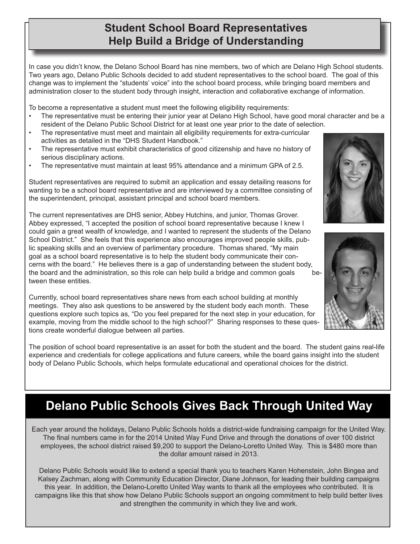### **Student School Board Representatives Help Build a Bridge of Understanding**

In case you didn't know, the Delano School Board has nine members, two of which are Delano High School students. Two years ago, Delano Public Schools decided to add student representatives to the school board. The goal of this change was to implement the "students' voice" into the school board process, while bringing board members and administration closer to the student body through insight, interaction and collaborative exchange of information.

To become a representative a student must meet the following eligibility requirements:

- The representative must be entering their junior year at Delano High School, have good moral character and be a resident of the Delano Public School District for at least one year prior to the date of selection.
- The representative must meet and maintain all eligibility requirements for extra-curricular activities as detailed in the "DHS Student Handbook."
- The representative must exhibit characteristics of good citizenship and have no history of serious disciplinary actions.
- The representative must maintain at least 95% attendance and a minimum GPA of 2.5.





Student representatives are required to submit an application and essay detailing reasons for wanting to be a school board representative and are interviewed by a committee consisting of the superintendent, principal, assistant principal and school board members.

The current representatives are DHS senior, Abbey Hutchins, and junior, Thomas Grover. Abbey expressed, "I accepted the position of school board representative because I knew I could gain a great wealth of knowledge, and I wanted to represent the students of the Delano School District." She feels that this experience also encourages improved people skills, public speaking skills and an overview of parlimentary procedure. Thomas shared, "My main goal as a school board representative is to help the student body communicate their concerns with the board." He believes there is a gap of understanding between the student body, the board and the administration, so this role can help build a bridge and common goals between these entities.

Currently, school board representatives share news from each school building at monthly meetings. They also ask questions to be answered by the student body each month. These questions explore such topics as, "Do you feel prepared for the next step in your education, for example, moving from the middle school to the high school?" Sharing responses to these questions create wonderful dialogue between all parties.

The position of school board representative is an asset for both the student and the board. The student gains real-life experience and credentials for college applications and future careers, while the board gains insight into the student body of Delano Public Schools, which helps formulate educational and operational choices for the district.

## **Delano Public Schools Gives Back Through United Way**

Each year around the holidays, Delano Public Schools holds a district-wide fundraising campaign for the United Way. The final numbers came in for the 2014 United Way Fund Drive and through the donations of over 100 district employees, the school district raised \$9,200 to support the Delano-Loretto United Way. This is \$480 more than the dollar amount raised in 2013.

Delano Public Schools would like to extend a special thank you to teachers Karen Hohenstein, John Bingea and Kalsey Zachman, along with Community Education Director, Diane Johnson, for leading their building campaigns this year. In addition, the Delano-Loretto United Way wants to thank all the employees who contributed. It is campaigns like this that show how Delano Public Schools support an ongoing commitment to help build better lives and strengthen the community in which they live and work.